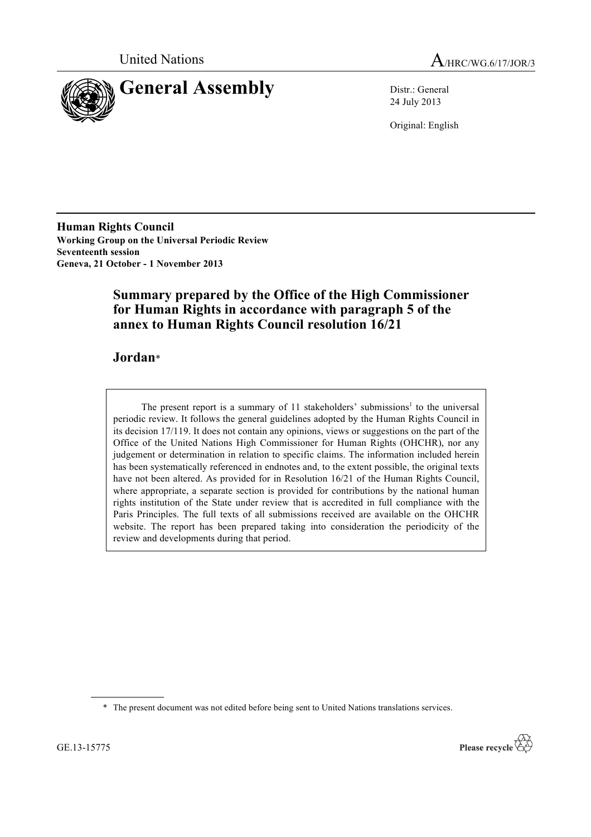



24 July 2013

Original: English

**Human Rights Council Working Group on the Universal Periodic Review Seventeenth session Geneva, 21 October - 1 November 2013**

# **Summary prepared by the Office of the High Commissioner for Human Rights in accordance with paragraph 5 of the annex to Human Rights Council resolution 16/21**

# **Jordan**\*

The present report is a summary of  $11$  stakeholders' submissions<sup>1</sup> to the universal periodic review. It follows the general guidelines adopted by the Human Rights Council in its decision 17/119. It does not contain any opinions, views or suggestions on the part of the Office of the United Nations High Commissioner for Human Rights (OHCHR), nor any judgement or determination in relation to specific claims. The information included herein has been systematically referenced in endnotes and, to the extent possible, the original texts have not been altered. As provided for in Resolution 16/21 of the Human Rights Council, where appropriate, a separate section is provided for contributions by the national human rights institution of the State under review that is accredited in full compliance with the Paris Principles. The full texts of all submissions received are available on the OHCHR website. The report has been prepared taking into consideration the periodicity of the review and developments during that period.

\* The present document was not edited before being sent to United Nations translations services.

GE.13-15775

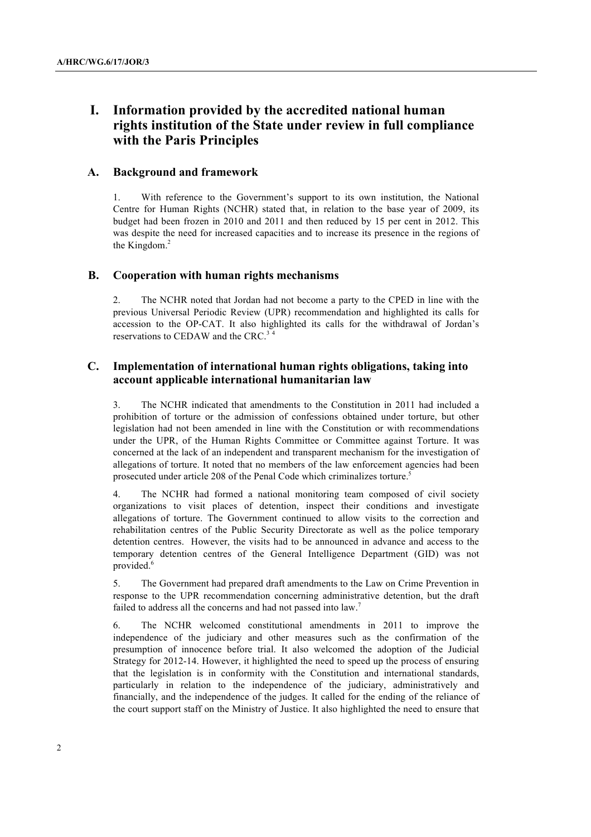# **I. Information provided by the accredited national human rights institution of the State under review in full compliance with the Paris Principles**

## **A. Background and framework**

1. With reference to the Government's support to its own institution, the National Centre for Human Rights (NCHR) stated that, in relation to the base year of 2009, its budget had been frozen in 2010 and 2011 and then reduced by 15 per cent in 2012. This was despite the need for increased capacities and to increase its presence in the regions of the Kingdom.<sup>2</sup>

## **B. Cooperation with human rights mechanisms**

2. The NCHR noted that Jordan had not become a party to the CPED in line with the previous Universal Periodic Review (UPR) recommendation and highlighted its calls for accession to the OP-CAT. It also highlighted its calls for the withdrawal of Jordan's reservations to CEDAW and the CRC.<sup>3</sup> <sup>4</sup>

# **C. Implementation of international human rights obligations, taking into account applicable international humanitarian law**

3. The NCHR indicated that amendments to the Constitution in 2011 had included a prohibition of torture or the admission of confessions obtained under torture, but other legislation had not been amended in line with the Constitution or with recommendations under the UPR, of the Human Rights Committee or Committee against Torture. It was concerned at the lack of an independent and transparent mechanism for the investigation of allegations of torture. It noted that no members of the law enforcement agencies had been prosecuted under article 208 of the Penal Code which criminalizes torture.5

4. The NCHR had formed a national monitoring team composed of civil society organizations to visit places of detention, inspect their conditions and investigate allegations of torture. The Government continued to allow visits to the correction and rehabilitation centres of the Public Security Directorate as well as the police temporary detention centres. However, the visits had to be announced in advance and access to the temporary detention centres of the General Intelligence Department (GID) was not provided. 6

5. The Government had prepared draft amendments to the Law on Crime Prevention in response to the UPR recommendation concerning administrative detention, but the draft failed to address all the concerns and had not passed into law.<sup>7</sup>

6. The NCHR welcomed constitutional amendments in 2011 to improve the independence of the judiciary and other measures such as the confirmation of the presumption of innocence before trial. It also welcomed the adoption of the Judicial Strategy for 2012-14. However, it highlighted the need to speed up the process of ensuring that the legislation is in conformity with the Constitution and international standards, particularly in relation to the independence of the judiciary, administratively and financially, and the independence of the judges. It called for the ending of the reliance of the court support staff on the Ministry of Justice. It also highlighted the need to ensure that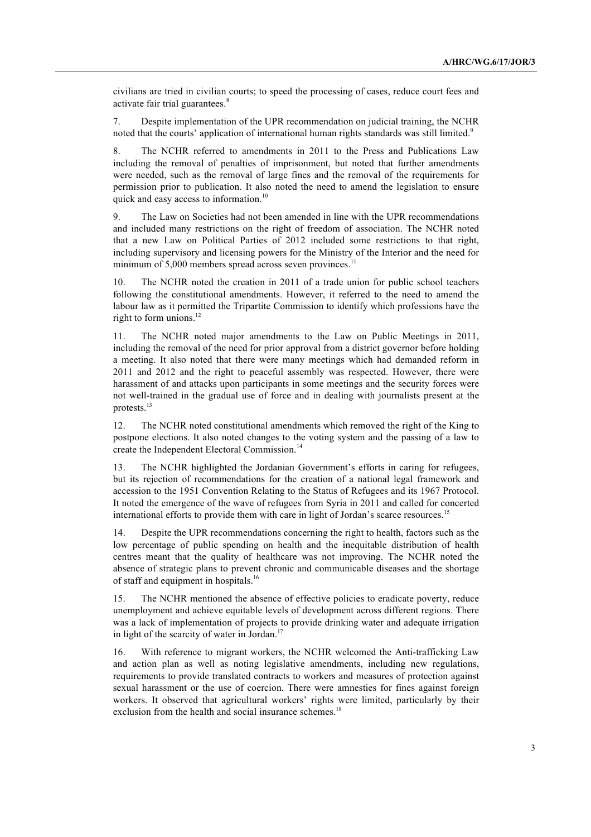civilians are tried in civilian courts; to speed the processing of cases, reduce court fees and activate fair trial guarantees.<sup>8</sup>

7. Despite implementation of the UPR recommendation on judicial training, the NCHR noted that the courts' application of international human rights standards was still limited.<sup>9</sup>

8. The NCHR referred to amendments in 2011 to the Press and Publications Law including the removal of penalties of imprisonment, but noted that further amendments were needed, such as the removal of large fines and the removal of the requirements for permission prior to publication. It also noted the need to amend the legislation to ensure quick and easy access to information.<sup>10</sup>

9. The Law on Societies had not been amended in line with the UPR recommendations and included many restrictions on the right of freedom of association. The NCHR noted that a new Law on Political Parties of 2012 included some restrictions to that right, including supervisory and licensing powers for the Ministry of the Interior and the need for minimum of 5,000 members spread across seven provinces.<sup>11</sup>

10. The NCHR noted the creation in 2011 of a trade union for public school teachers following the constitutional amendments. However, it referred to the need to amend the labour law as it permitted the Tripartite Commission to identify which professions have the right to form unions. $12$ 

11. The NCHR noted major amendments to the Law on Public Meetings in 2011, including the removal of the need for prior approval from a district governor before holding a meeting. It also noted that there were many meetings which had demanded reform in 2011 and 2012 and the right to peaceful assembly was respected. However, there were harassment of and attacks upon participants in some meetings and the security forces were not well-trained in the gradual use of force and in dealing with journalists present at the protests.13

12. The NCHR noted constitutional amendments which removed the right of the King to postpone elections. It also noted changes to the voting system and the passing of a law to create the Independent Electoral Commission.<sup>14</sup>

13. The NCHR highlighted the Jordanian Government's efforts in caring for refugees, but its rejection of recommendations for the creation of a national legal framework and accession to the 1951 Convention Relating to the Status of Refugees and its 1967 Protocol. It noted the emergence of the wave of refugees from Syria in 2011 and called for concerted international efforts to provide them with care in light of Jordan's scarce resources.<sup>15</sup>

14. Despite the UPR recommendations concerning the right to health, factors such as the low percentage of public spending on health and the inequitable distribution of health centres meant that the quality of healthcare was not improving. The NCHR noted the absence of strategic plans to prevent chronic and communicable diseases and the shortage of staff and equipment in hospitals.<sup>16</sup>

15. The NCHR mentioned the absence of effective policies to eradicate poverty, reduce unemployment and achieve equitable levels of development across different regions. There was a lack of implementation of projects to provide drinking water and adequate irrigation in light of the scarcity of water in Jordan.<sup>17</sup>

16. With reference to migrant workers, the NCHR welcomed the Anti-trafficking Law and action plan as well as noting legislative amendments, including new regulations, requirements to provide translated contracts to workers and measures of protection against sexual harassment or the use of coercion. There were amnesties for fines against foreign workers. It observed that agricultural workers' rights were limited, particularly by their exclusion from the health and social insurance schemes.<sup>18</sup>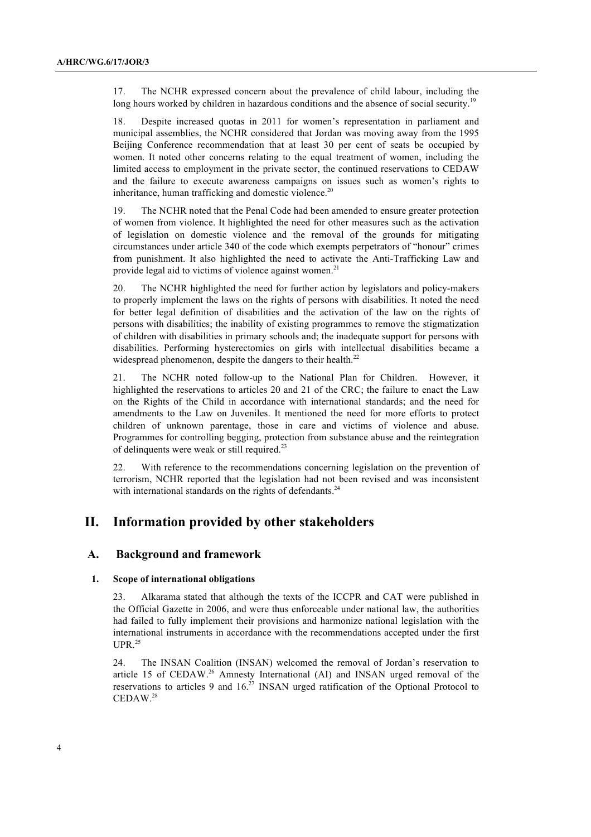17. The NCHR expressed concern about the prevalence of child labour, including the long hours worked by children in hazardous conditions and the absence of social security.<sup>19</sup>

18. Despite increased quotas in 2011 for women's representation in parliament and municipal assemblies, the NCHR considered that Jordan was moving away from the 1995 Beijing Conference recommendation that at least 30 per cent of seats be occupied by women. It noted other concerns relating to the equal treatment of women, including the limited access to employment in the private sector, the continued reservations to CEDAW and the failure to execute awareness campaigns on issues such as women's rights to inheritance, human trafficking and domestic violence.<sup>20</sup>

19. The NCHR noted that the Penal Code had been amended to ensure greater protection of women from violence. It highlighted the need for other measures such as the activation of legislation on domestic violence and the removal of the grounds for mitigating circumstances under article 340 of the code which exempts perpetrators of "honour" crimes from punishment. It also highlighted the need to activate the Anti-Trafficking Law and provide legal aid to victims of violence against women.<sup>21</sup>

20. The NCHR highlighted the need for further action by legislators and policy-makers to properly implement the laws on the rights of persons with disabilities. It noted the need for better legal definition of disabilities and the activation of the law on the rights of persons with disabilities; the inability of existing programmes to remove the stigmatization of children with disabilities in primary schools and; the inadequate support for persons with disabilities. Performing hysterectomies on girls with intellectual disabilities became a widespread phenomenon, despite the dangers to their health.<sup>22</sup>

21. The NCHR noted follow-up to the National Plan for Children. However, it highlighted the reservations to articles 20 and 21 of the CRC; the failure to enact the Law on the Rights of the Child in accordance with international standards; and the need for amendments to the Law on Juveniles. It mentioned the need for more efforts to protect children of unknown parentage, those in care and victims of violence and abuse. Programmes for controlling begging, protection from substance abuse and the reintegration of delinquents were weak or still required.<sup>23</sup>

22. With reference to the recommendations concerning legislation on the prevention of terrorism, NCHR reported that the legislation had not been revised and was inconsistent with international standards on the rights of defendants.<sup>24</sup>

# **II. Information provided by other stakeholders**

## **A. Background and framework**

## **1. Scope of international obligations**

23. Alkarama stated that although the texts of the ICCPR and CAT were published in the Official Gazette in 2006, and were thus enforceable under national law, the authorities had failed to fully implement their provisions and harmonize national legislation with the international instruments in accordance with the recommendations accepted under the first  $UPR.<sup>25</sup>$ 

24. The INSAN Coalition (INSAN) welcomed the removal of Jordan's reservation to article 15 of CEDAW.<sup>26</sup> Amnesty International (AI) and INSAN urged removal of the reservations to articles 9 and  $16<sup>27</sup>$  INSAN urged ratification of the Optional Protocol to CEDAW. 28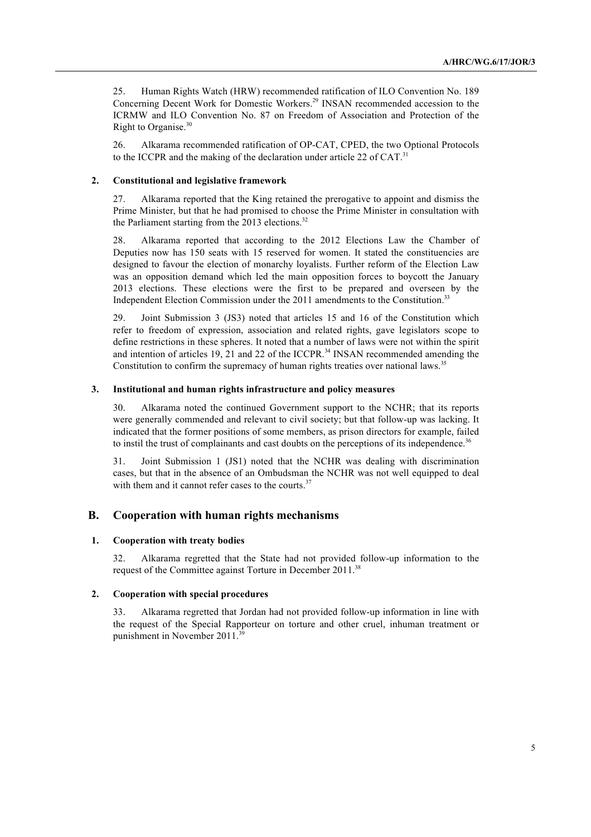25. Human Rights Watch (HRW) recommended ratification of ILO Convention No. 189 Concerning Decent Work for Domestic Workers.<sup>29</sup> INSAN recommended accession to the ICRMW and ILO Convention No. 87 on Freedom of Association and Protection of the Right to Organise. 30

26. Alkarama recommended ratification of OP-CAT, CPED, the two Optional Protocols to the ICCPR and the making of the declaration under article 22 of CAT.<sup>31</sup>

#### **2. Constitutional and legislative framework**

27. Alkarama reported that the King retained the prerogative to appoint and dismiss the Prime Minister, but that he had promised to choose the Prime Minister in consultation with the Parliament starting from the  $2013$  elections.<sup>32</sup>

28. Alkarama reported that according to the 2012 Elections Law the Chamber of Deputies now has 150 seats with 15 reserved for women. It stated the constituencies are designed to favour the election of monarchy loyalists. Further reform of the Election Law was an opposition demand which led the main opposition forces to boycott the January 2013 elections. These elections were the first to be prepared and overseen by the Independent Election Commission under the 2011 amendments to the Constitution.<sup>33</sup>

29. Joint Submission 3 (JS3) noted that articles 15 and 16 of the Constitution which refer to freedom of expression, association and related rights, gave legislators scope to define restrictions in these spheres. It noted that a number of laws were not within the spirit and intention of articles 19, 21 and 22 of the ICCPR.<sup>34</sup> INSAN recommended amending the Constitution to confirm the supremacy of human rights treaties over national laws.<sup>35</sup>

#### **3. Institutional and human rights infrastructure and policy measures**

30. Alkarama noted the continued Government support to the NCHR; that its reports were generally commended and relevant to civil society; but that follow-up was lacking. It indicated that the former positions of some members, as prison directors for example, failed to instil the trust of complainants and cast doubts on the perceptions of its independence.<sup>36</sup>

31. Joint Submission 1 (JS1) noted that the NCHR was dealing with discrimination cases, but that in the absence of an Ombudsman the NCHR was not well equipped to deal with them and it cannot refer cases to the courts. $37$ 

# **B. Cooperation with human rights mechanisms**

#### **1. Cooperation with treaty bodies**

32. Alkarama regretted that the State had not provided follow-up information to the request of the Committee against Torture in December 2011.<sup>38</sup>

### **2. Cooperation with special procedures**

33. Alkarama regretted that Jordan had not provided follow-up information in line with the request of the Special Rapporteur on torture and other cruel, inhuman treatment or punishment in November 2011.<sup>3</sup>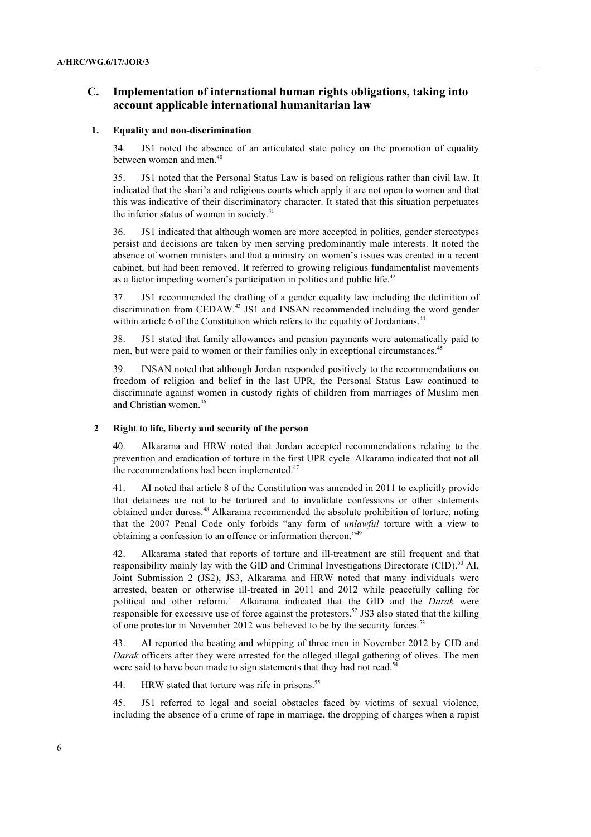# **C. Implementation of international human rights obligations, taking into account applicable international humanitarian law**

#### **1. Equality and non-discrimination**

34. JS1 noted the absence of an articulated state policy on the promotion of equality between women and men<sup>40</sup>

35. JS1 noted that the Personal Status Law is based on religious rather than civil law. It indicated that the shari'a and religious courts which apply it are not open to women and that this was indicative of their discriminatory character. It stated that this situation perpetuates the inferior status of women in society. $41$ 

36. JS1 indicated that although women are more accepted in politics, gender stereotypes persist and decisions are taken by men serving predominantly male interests. It noted the absence of women ministers and that a ministry on women's issues was created in a recent cabinet, but had been removed. It referred to growing religious fundamentalist movements as a factor impeding women's participation in politics and public life.<sup>42</sup>

37. JS1 recommended the drafting of a gender equality law including the definition of discrimination from CEDAW. <sup>43</sup> JS1 and INSAN recommended including the word gender within article 6 of the Constitution which refers to the equality of Jordanians.<sup>44</sup>

38. JS1 stated that family allowances and pension payments were automatically paid to men, but were paid to women or their families only in exceptional circumstances.<sup>45</sup>

39. INSAN noted that although Jordan responded positively to the recommendations on freedom of religion and belief in the last UPR, the Personal Status Law continued to discriminate against women in custody rights of children from marriages of Muslim men and Christian women.<sup>46</sup>

#### **2 Right to life, liberty and security of the person**

40. Alkarama and HRW noted that Jordan accepted recommendations relating to the prevention and eradication of torture in the first UPR cycle. Alkarama indicated that not all the recommendations had been implemented.<sup>47</sup>

41. AI noted that article 8 of the Constitution was amended in 2011 to explicitly provide that detainees are not to be tortured and to invalidate confessions or other statements obtained under duress.<sup>48</sup> Alkarama recommended the absolute prohibition of torture, noting that the 2007 Penal Code only forbids "any form of *unlawful* torture with a view to obtaining a confession to an offence or information thereon."<sup>49</sup>

42. Alkarama stated that reports of torture and ill-treatment are still frequent and that responsibility mainly lay with the GID and Criminal Investigations Directorate (CID).<sup>50</sup> AI, Joint Submission 2 (JS2), JS3, Alkarama and HRW noted that many individuals were arrested, beaten or otherwise ill-treated in 2011 and 2012 while peacefully calling for political and other reform.<sup>51</sup> Alkarama indicated that the GID and the *Darak* were responsible for excessive use of force against the protestors.<sup>52</sup> JS3 also stated that the killing of one protestor in November 2012 was believed to be by the security forces.<sup>53</sup>

43. AI reported the beating and whipping of three men in November 2012 by CID and *Darak* officers after they were arrested for the alleged illegal gathering of olives. The men were said to have been made to sign statements that they had not read.<sup>54</sup>

44. HRW stated that torture was rife in prisons.<sup>55</sup>

45. JS1 referred to legal and social obstacles faced by victims of sexual violence, including the absence of a crime of rape in marriage, the dropping of charges when a rapist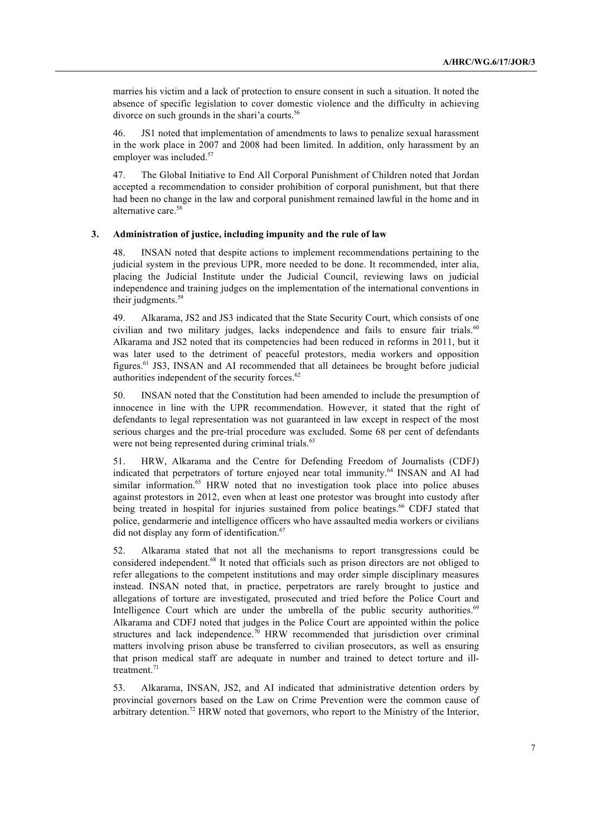marries his victim and a lack of protection to ensure consent in such a situation. It noted the absence of specific legislation to cover domestic violence and the difficulty in achieving divorce on such grounds in the shari'a courts.<sup>56</sup>

46. JS1 noted that implementation of amendments to laws to penalize sexual harassment in the work place in 2007 and 2008 had been limited. In addition, only harassment by an employer was included.<sup>57</sup>

47. The Global Initiative to End All Corporal Punishment of Children noted that Jordan accepted a recommendation to consider prohibition of corporal punishment, but that there had been no change in the law and corporal punishment remained lawful in the home and in alternative care. 58

## **3. Administration of justice, including impunity and the rule of law**

48. INSAN noted that despite actions to implement recommendations pertaining to the judicial system in the previous UPR, more needed to be done. It recommended, inter alia, placing the Judicial Institute under the Judicial Council, reviewing laws on judicial independence and training judges on the implementation of the international conventions in their judgments.<sup>59</sup>

49. Alkarama, JS2 and JS3 indicated that the State Security Court, which consists of one civilian and two military judges, lacks independence and fails to ensure fair trials.<sup>60</sup> Alkarama and JS2 noted that its competencies had been reduced in reforms in 2011, but it was later used to the detriment of peaceful protestors, media workers and opposition figures.61 JS3, INSAN and AI recommended that all detainees be brought before judicial authorities independent of the security forces.<sup>62</sup>

50. INSAN noted that the Constitution had been amended to include the presumption of innocence in line with the UPR recommendation. However, it stated that the right of defendants to legal representation was not guaranteed in law except in respect of the most serious charges and the pre-trial procedure was excluded. Some 68 per cent of defendants were not being represented during criminal trials.<sup>63</sup>

51. HRW, Alkarama and the Centre for Defending Freedom of Journalists (CDFJ) indicated that perpetrators of torture enjoyed near total immunity.<sup>64</sup> INSAN and AI had similar information.<sup>65</sup> HRW noted that no investigation took place into police abuses against protestors in 2012, even when at least one protestor was brought into custody after being treated in hospital for injuries sustained from police beatings.<sup>66</sup> CDFJ stated that police, gendarmerie and intelligence officers who have assaulted media workers or civilians did not display any form of identification.<sup>67</sup>

52. Alkarama stated that not all the mechanisms to report transgressions could be considered independent.68 It noted that officials such as prison directors are not obliged to refer allegations to the competent institutions and may order simple disciplinary measures instead. INSAN noted that, in practice, perpetrators are rarely brought to justice and allegations of torture are investigated, prosecuted and tried before the Police Court and Intelligence Court which are under the umbrella of the public security authorities. $69$ Alkarama and CDFJ noted that judges in the Police Court are appointed within the police structures and lack independence.<sup>70</sup> HRW recommended that jurisdiction over criminal matters involving prison abuse be transferred to civilian prosecutors, as well as ensuring that prison medical staff are adequate in number and trained to detect torture and illtreatment. $71$ 

53. Alkarama, INSAN, JS2, and AI indicated that administrative detention orders by provincial governors based on the Law on Crime Prevention were the common cause of arbitrary detention.<sup>72</sup> HRW noted that governors, who report to the Ministry of the Interior,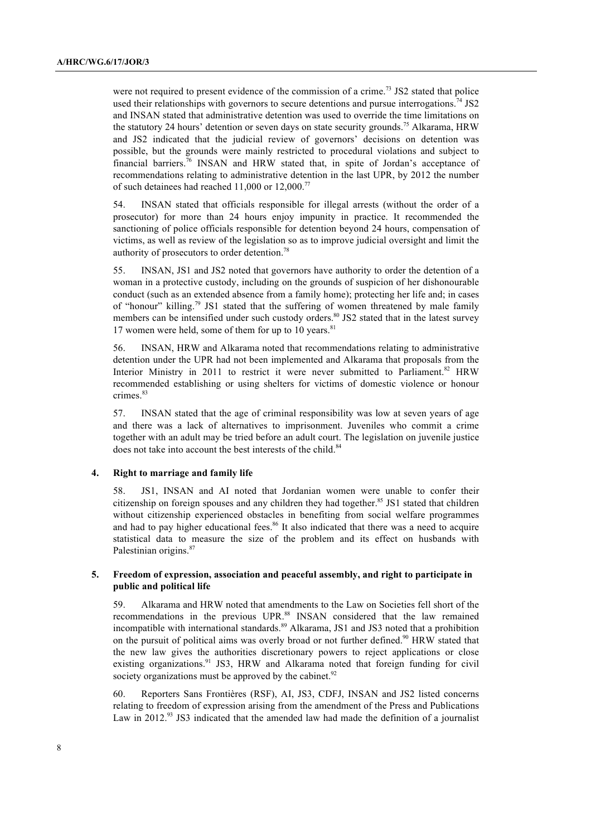were not required to present evidence of the commission of a crime.<sup>73</sup> JS2 stated that police used their relationships with governors to secure detentions and pursue interrogations.<sup>74</sup> JS2 and INSAN stated that administrative detention was used to override the time limitations on the statutory 24 hours' detention or seven days on state security grounds.<sup>75</sup> Alkarama, HRW and JS2 indicated that the judicial review of governors' decisions on detention was possible, but the grounds were mainly restricted to procedural violations and subject to financial barriers.<sup>76</sup> INSAN and HRW stated that, in spite of Jordan's acceptance of recommendations relating to administrative detention in the last UPR, by 2012 the number of such detainees had reached 11,000 or 12,000.<sup>77</sup>

54. INSAN stated that officials responsible for illegal arrests (without the order of a prosecutor) for more than 24 hours enjoy impunity in practice. It recommended the sanctioning of police officials responsible for detention beyond 24 hours, compensation of victims, as well as review of the legislation so as to improve judicial oversight and limit the authority of prosecutors to order detention.78

55. INSAN, JS1 and JS2 noted that governors have authority to order the detention of a woman in a protective custody, including on the grounds of suspicion of her dishonourable conduct (such as an extended absence from a family home); protecting her life and; in cases of "honour" killing.<sup>79</sup> JS1 stated that the suffering of women threatened by male family members can be intensified under such custody orders.<sup>80</sup> JS2 stated that in the latest survey 17 women were held, some of them for up to 10 years. $81$ 

56. INSAN, HRW and Alkarama noted that recommendations relating to administrative detention under the UPR had not been implemented and Alkarama that proposals from the Interior Ministry in 2011 to restrict it were never submitted to Parliament.<sup>82</sup> HRW recommended establishing or using shelters for victims of domestic violence or honour crimes.<sup>83</sup>

57. INSAN stated that the age of criminal responsibility was low at seven years of age and there was a lack of alternatives to imprisonment. Juveniles who commit a crime together with an adult may be tried before an adult court. The legislation on juvenile justice does not take into account the best interests of the child.<sup>84</sup>

#### **4. Right to marriage and family life**

58. JS1, INSAN and AI noted that Jordanian women were unable to confer their citizenship on foreign spouses and any children they had together. <sup>85</sup> JS1 stated that children without citizenship experienced obstacles in benefiting from social welfare programmes and had to pay higher educational fees.<sup>86</sup> It also indicated that there was a need to acquire statistical data to measure the size of the problem and its effect on husbands with Palestinian origins.<sup>87</sup>

## **5. Freedom of expression, association and peaceful assembly, and right to participate in public and political life**

59. Alkarama and HRW noted that amendments to the Law on Societies fell short of the recommendations in the previous UPR.<sup>88</sup> INSAN considered that the law remained incompatible with international standards.<sup>89</sup> Alkarama, JS1 and JS3 noted that a prohibition on the pursuit of political aims was overly broad or not further defined.<sup>90</sup> HRW stated that the new law gives the authorities discretionary powers to reject applications or close existing organizations.<sup>91</sup> JS3, HRW and Alkarama noted that foreign funding for civil society organizations must be approved by the cabinet. $92$ 

60. Reporters Sans Frontières (RSF), AI, JS3, CDFJ, INSAN and JS2 listed concerns relating to freedom of expression arising from the amendment of the Press and Publications Law in 2012.<sup>93</sup> JS3 indicated that the amended law had made the definition of a journalist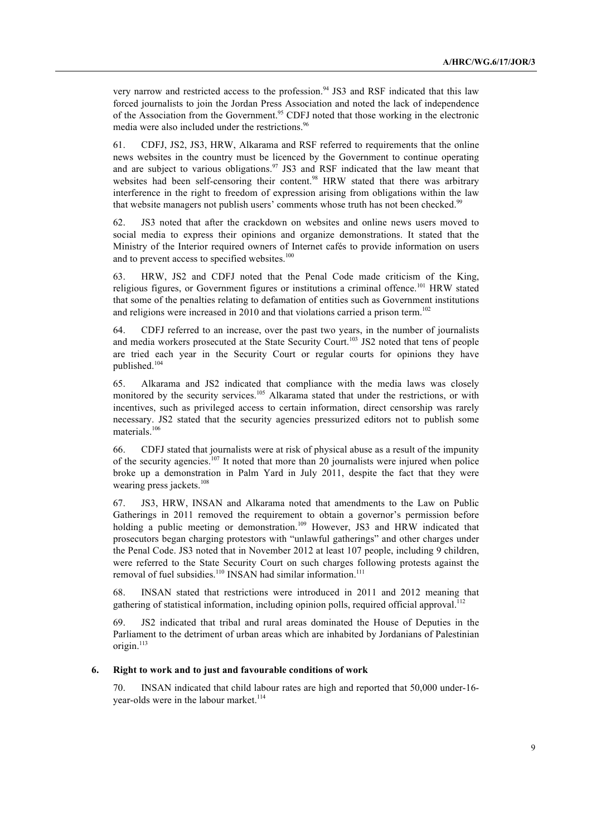very narrow and restricted access to the profession. <sup>94</sup> JS3 and RSF indicated that this law forced journalists to join the Jordan Press Association and noted the lack of independence of the Association from the Government.<sup>95</sup> CDFJ noted that those working in the electronic media were also included under the restrictions. 96

61. CDFJ, JS2, JS3, HRW, Alkarama and RSF referred to requirements that the online news websites in the country must be licenced by the Government to continue operating and are subject to various obligations.<sup>97</sup> JS3 and RSF indicated that the law meant that websites had been self-censoring their content.<sup>98</sup> HRW stated that there was arbitrary interference in the right to freedom of expression arising from obligations within the law that website managers not publish users' comments whose truth has not been checked.<sup>99</sup>

62. JS3 noted that after the crackdown on websites and online news users moved to social media to express their opinions and organize demonstrations. It stated that the Ministry of the Interior required owners of Internet cafés to provide information on users and to prevent access to specified websites.<sup>100</sup>

63. HRW, JS2 and CDFJ noted that the Penal Code made criticism of the King, religious figures, or Government figures or institutions a criminal offence.<sup>101</sup> HRW stated that some of the penalties relating to defamation of entities such as Government institutions and religions were increased in 2010 and that violations carried a prison term.<sup>102</sup>

64. CDFJ referred to an increase, over the past two years, in the number of journalists and media workers prosecuted at the State Security Court.<sup>103</sup> JS2 noted that tens of people are tried each year in the Security Court or regular courts for opinions they have published.<sup>104</sup>

65. Alkarama and JS2 indicated that compliance with the media laws was closely monitored by the security services. <sup>105</sup> Alkarama stated that under the restrictions, or with incentives, such as privileged access to certain information, direct censorship was rarely necessary. JS2 stated that the security agencies pressurized editors not to publish some materials.106

66. CDFJ stated that journalists were at risk of physical abuse as a result of the impunity of the security agencies.<sup>107</sup> It noted that more than 20 journalists were injured when police broke up a demonstration in Palm Yard in July 2011, despite the fact that they were wearing press jackets.<sup>108</sup>

67. JS3, HRW, INSAN and Alkarama noted that amendments to the Law on Public Gatherings in 2011 removed the requirement to obtain a governor's permission before holding a public meeting or demonstration.<sup>109</sup> However, JS3 and HRW indicated that prosecutors began charging protestors with "unlawful gatherings" and other charges under the Penal Code. JS3 noted that in November 2012 at least 107 people, including 9 children, were referred to the State Security Court on such charges following protests against the removal of fuel subsidies.<sup>110</sup> INSAN had similar information.<sup>111</sup>

68. INSAN stated that restrictions were introduced in 2011 and 2012 meaning that gathering of statistical information, including opinion polls, required official approval.<sup>112</sup>

69. JS2 indicated that tribal and rural areas dominated the House of Deputies in the Parliament to the detriment of urban areas which are inhabited by Jordanians of Palestinian origin.<sup>113</sup>

## **6. Right to work and to just and favourable conditions of work**

70. INSAN indicated that child labour rates are high and reported that 50,000 under-16 year-olds were in the labour market.<sup>114</sup>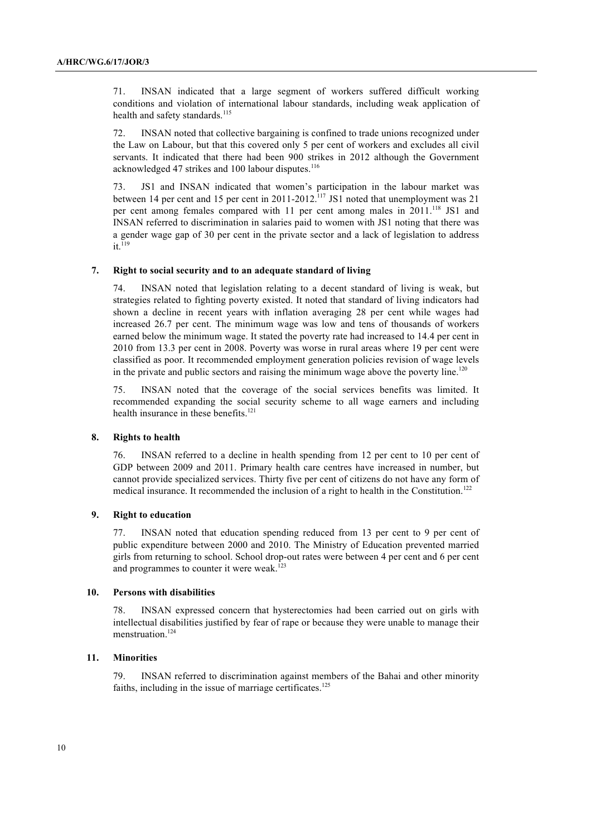71. INSAN indicated that a large segment of workers suffered difficult working conditions and violation of international labour standards, including weak application of health and safety standards.<sup>115</sup>

72. INSAN noted that collective bargaining is confined to trade unions recognized under the Law on Labour, but that this covered only 5 per cent of workers and excludes all civil servants. It indicated that there had been 900 strikes in 2012 although the Government acknowledged 47 strikes and 100 labour disputes.<sup>116</sup>

73. JS1 and INSAN indicated that women's participation in the labour market was between 14 per cent and 15 per cent in  $2011-2012$ .<sup>117</sup> JS1 noted that unemployment was 21 per cent among females compared with 11 per cent among males in 2011.<sup>118</sup> JS1 and INSAN referred to discrimination in salaries paid to women with JS1 noting that there was a gender wage gap of 30 per cent in the private sector and a lack of legislation to address  $it.<sup>119</sup>$ 

#### **7. Right to social security and to an adequate standard of living**

INSAN noted that legislation relating to a decent standard of living is weak, but strategies related to fighting poverty existed. It noted that standard of living indicators had shown a decline in recent years with inflation averaging 28 per cent while wages had increased 26.7 per cent. The minimum wage was low and tens of thousands of workers earned below the minimum wage. It stated the poverty rate had increased to 14.4 per cent in 2010 from 13.3 per cent in 2008. Poverty was worse in rural areas where 19 per cent were classified as poor. It recommended employment generation policies revision of wage levels in the private and public sectors and raising the minimum wage above the poverty line.<sup>120</sup>

75. INSAN noted that the coverage of the social services benefits was limited. It recommended expanding the social security scheme to all wage earners and including health insurance in these benefits. 121

#### **8. Rights to health**

76. INSAN referred to a decline in health spending from 12 per cent to 10 per cent of GDP between 2009 and 2011. Primary health care centres have increased in number, but cannot provide specialized services. Thirty five per cent of citizens do not have any form of medical insurance. It recommended the inclusion of a right to health in the Constitution.<sup>122</sup>

#### **9. Right to education**

77. INSAN noted that education spending reduced from 13 per cent to 9 per cent of public expenditure between 2000 and 2010. The Ministry of Education prevented married girls from returning to school. School drop-out rates were between 4 per cent and 6 per cent and programmes to counter it were weak.<sup>123</sup>

### **10. Persons with disabilities**

78. INSAN expressed concern that hysterectomies had been carried out on girls with intellectual disabilities justified by fear of rape or because they were unable to manage their menstruation.<sup>124</sup>

### **11. Minorities**

79. INSAN referred to discrimination against members of the Bahai and other minority faiths, including in the issue of marriage certificates.<sup>125</sup>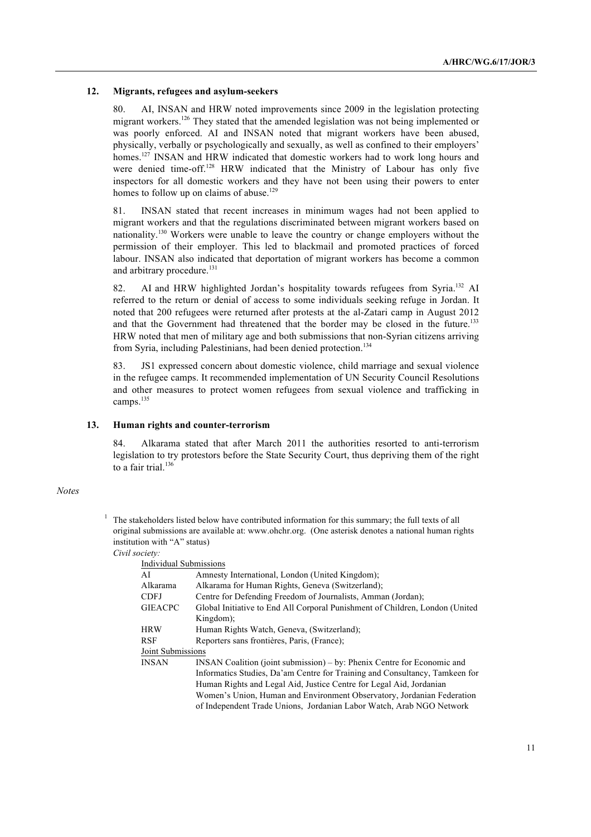#### **12. Migrants, refugees and asylum-seekers**

AI, INSAN and HRW noted improvements since 2009 in the legislation protecting migrant workers.<sup>126</sup> They stated that the amended legislation was not being implemented or was poorly enforced. AI and INSAN noted that migrant workers have been abused, physically, verbally or psychologically and sexually, as well as confined to their employers' homes.<sup>127</sup> INSAN and HRW indicated that domestic workers had to work long hours and were denied time-off.<sup>128</sup> HRW indicated that the Ministry of Labour has only five inspectors for all domestic workers and they have not been using their powers to enter homes to follow up on claims of abuse.<sup>129</sup>

81. INSAN stated that recent increases in minimum wages had not been applied to migrant workers and that the regulations discriminated between migrant workers based on nationality.<sup>130</sup> Workers were unable to leave the country or change employers without the permission of their employer. This led to blackmail and promoted practices of forced labour. INSAN also indicated that deportation of migrant workers has become a common and arbitrary procedure.<sup>131</sup>

82. AI and HRW highlighted Jordan's hospitality towards refugees from Syria.<sup>132</sup> AI referred to the return or denial of access to some individuals seeking refuge in Jordan. It noted that 200 refugees were returned after protests at the al-Zatari camp in August 2012 and that the Government had threatened that the border may be closed in the future.<sup>133</sup> HRW noted that men of military age and both submissions that non-Syrian citizens arriving from Syria, including Palestinians, had been denied protection.<sup>134</sup>

83. JS1 expressed concern about domestic violence, child marriage and sexual violence in the refugee camps. It recommended implementation of UN Security Council Resolutions and other measures to protect women refugees from sexual violence and trafficking in camps.<sup>135</sup>

#### **13. Human rights and counter-terrorism**

84. Alkarama stated that after March 2011 the authorities resorted to anti-terrorism legislation to try protestors before the State Security Court, thus depriving them of the right to a fair trial. $136$ 

#### *Notes*

<sup>1</sup> The stakeholders listed below have contributed information for this summary; the full texts of all original submissions are available at: www.ohchr.org. (One asterisk denotes a national human rights institution with "A" status)

*Civil society:*

| Individual Submissions                                                       |  |
|------------------------------------------------------------------------------|--|
| Amnesty International, London (United Kingdom);                              |  |
| Alkarama for Human Rights, Geneva (Switzerland);                             |  |
| Centre for Defending Freedom of Journalists, Amman (Jordan);                 |  |
| Global Initiative to End All Corporal Punishment of Children, London (United |  |
| Kingdom);                                                                    |  |
| Human Rights Watch, Geneva, (Switzerland);                                   |  |
| Reporters sans frontières, Paris, (France);                                  |  |
| Joint Submissions                                                            |  |
| $INSAN$ Coalition (joint submission) – by: Phenix Centre for Economic and    |  |
| Informatics Studies, Da'am Centre for Training and Consultancy, Tamkeen for  |  |
| Human Rights and Legal Aid, Justice Centre for Legal Aid, Jordanian          |  |
| Women's Union, Human and Environment Observatory, Jordanian Federation       |  |
| of Independent Trade Unions, Jordanian Labor Watch, Arab NGO Network         |  |
|                                                                              |  |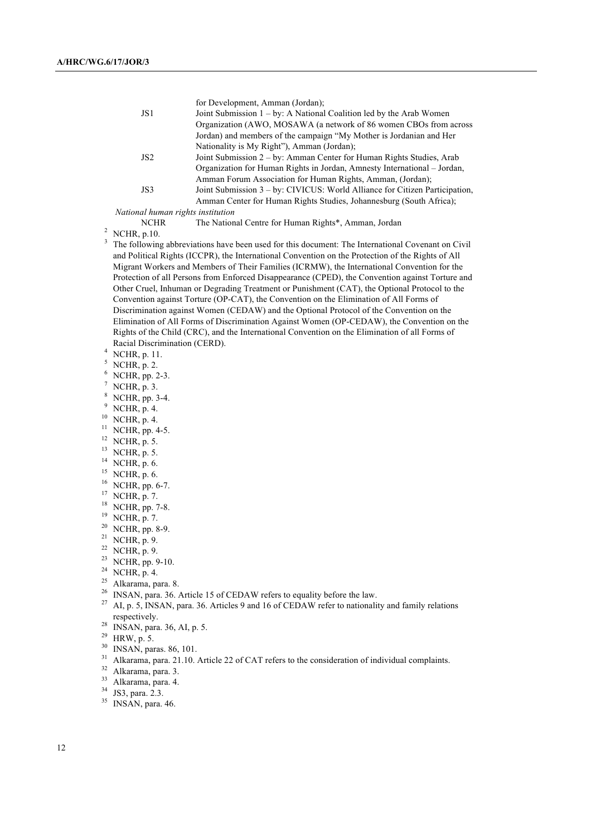|                 | for Development, Amman (Jordan);                                            |
|-----------------|-----------------------------------------------------------------------------|
| JS1             | Joint Submission $1 - by$ : A National Coalition led by the Arab Women      |
|                 | Organization (AWO, MOSAWA (a network of 86 women CBOs from across)          |
|                 | Jordan) and members of the campaign "My Mother is Jordanian and Her         |
|                 | Nationality is My Right"), Amman (Jordan);                                  |
| JS <sub>2</sub> | Joint Submission 2 – by: Amman Center for Human Rights Studies, Arab        |
|                 | Organization for Human Rights in Jordan, Amnesty International – Jordan,    |
|                 | Amman Forum Association for Human Rights, Amman, (Jordan);                  |
| JS3             | Joint Submission 3 – by: CIVICUS: World Alliance for Citizen Participation, |
|                 | Amman Center for Human Rights Studies, Johannesburg (South Africa);         |
|                 |                                                                             |

*National human rights institution*

NCHR The National Centre for Human Rights\*, Amman, Jordan <sup>2</sup> NCHR, p.10.

- 
- <sup>3</sup> The following abbreviations have been used for this document: The International Covenant on Civil and Political Rights (ICCPR), the International Convention on the Protection of the Rights of All Migrant Workers and Members of Their Families (ICRMW), the International Convention for the Protection of all Persons from Enforced Disappearance (CPED), the Convention against Torture and Other Cruel, Inhuman or Degrading Treatment or Punishment (CAT), the Optional Protocol to the Convention against Torture (OP-CAT), the Convention on the Elimination of All Forms of Discrimination against Women (CEDAW) and the Optional Protocol of the Convention on the Elimination of All Forms of Discrimination Against Women (OP-CEDAW), the Convention on the Rights of the Child (CRC), and the International Convention on the Elimination of all Forms of Racial Discrimination (CERD).
- $^{4}$  NCHR, p. 11.
- $^{5}$  NCHR, p. 2.
- $^{6}$  NCHR, pp. 2-3.<br>  $^{7}$  NCHR, p. 3.<br>  $^{8}$  NCHR pp. 3-4
- 
- $\frac{8}{9}$  NCHR, pp. 3-4.
- NCHR, p. 4.
- $^{10}$  NCHR, p. 4.
- $^{11}$  NCHR, pp. 4-5.
- $12$  NCHR, p. 5.
- <sup>13</sup> NCHR, p. 5.
- $^{14}$  NCHR, p. 6.
- $^{15}$  NCHR, p. 6.
- $^{16}$  NCHR, pp. 6-7.
- $17$  NCHR, p. 7.
- <sup>18</sup> NCHR, pp. 7-8.
- <sup>19</sup> NCHR, p. 7.
- $20$  NCHR, pp. 8-9.
- $21$  NCHR, p. 9.
- $22$  NCHR, p. 9.
- $23$  NCHR, pp. 9-10.
- <sup>24</sup> NCHR, p. 4.
- 
- 
- <sup>25</sup> Alkarama, para. 8.<br><sup>26</sup> INSAN, para. 36. Article 15 of CEDAW refers to equality before the law.
- <sup>27</sup> AI, p. 5, INSAN, para. 36. Articles 9 and 16 of CEDAW refer to nationality and family relations respectively.
- <sup>28</sup> INSAN, para. 36, AI, p. 5.
- $29$  HRW, p. 5.
- <sup>30</sup> INSAN, paras. 86, 101.
- <sup>31</sup> Alkarama, para. 21.10. Article 22 of CAT refers to the consideration of individual complaints.<br><sup>32</sup> Alkarama, para. 3.
- 
- <sup>33</sup> Alkarama, para. 4.
- <sup>34</sup> JS3, para. 2.3.
- $35$  INSAN, para. 46.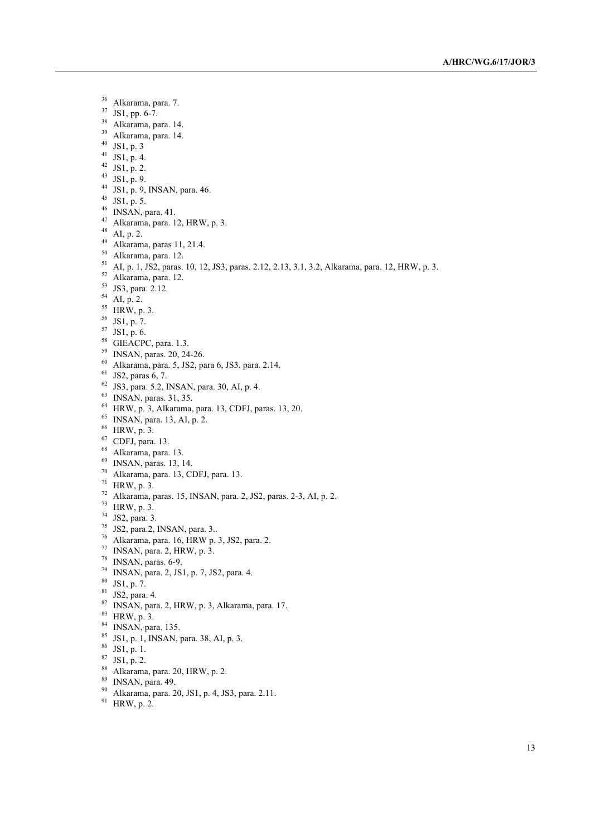Alkarama, para. 7. JS1, pp. 6-7. Alkarama, para. 14. Alkarama, para. 14. JS1, p. 3 JS1, p. 4. JS1, p. 2. 43 JS1, p. 9. JS1, p. 9, INSAN, para. 46. JS1, p. 5. INSAN, para. 41. Alkarama, para. 12, HRW, p. 3. AI, p. 2. Alkarama, paras 11, 21.4. Alkarama, para. 12. AI, p. 1, JS2, paras. 10, 12, JS3, paras. 2.12, 2.13, 3.1, 3.2, Alkarama, para. 12, HRW, p. 3. Alkarama, para. 12. JS3, para. 2.12. AI, p. 2.  $^{55}$  HRW, p. 3. JS1, p. 7. JS1, p. 6. <sup>58</sup> GIEACPC, para. 1.3. INSAN, paras. 20, 24-26. Alkarama, para. 5, JS2, para 6, JS3, para. 2.14. JS2, paras 6, 7. JS3, para. 5.2, INSAN, para. 30, AI, p. 4. INSAN, paras. 31, 35. HRW, p. 3, Alkarama, para. 13, CDFJ, paras. 13, 20. INSAN, para. 13, AI, p. 2. HRW, p. 3. CDFJ, para. 13. Alkarama, para. 13. INSAN, paras. 13, 14. Alkarama, para. 13, CDFJ, para. 13. HRW, p. 3. Alkarama, paras. 15, INSAN, para. 2, JS2, paras. 2-3, AI, p. 2. HRW, p. 3. JS2, para. 3. JS2, para.2, INSAN, para. 3.. Alkarama, para. 16, HRW p. 3, JS2, para. 2. INSAN, para. 2, HRW, p. 3. INSAN, paras. 6-9. INSAN, para. 2, JS1, p. 7, JS2, para. 4. JS1, p. 7. JS2, para. 4. INSAN, para. 2, HRW, p. 3, Alkarama, para. 17. HRW, p. 3. INSAN, para. 135. JS1, p. 1, INSAN, para. 38, AI, p. 3. JS1, p. 1. JS1, p. 2. Alkarama, para. 20, HRW, p. 2. INSAN, para. 49.

- Alkarama, para. 20, JS1, p. 4, JS3, para. 2.11.
- HRW, p. 2.